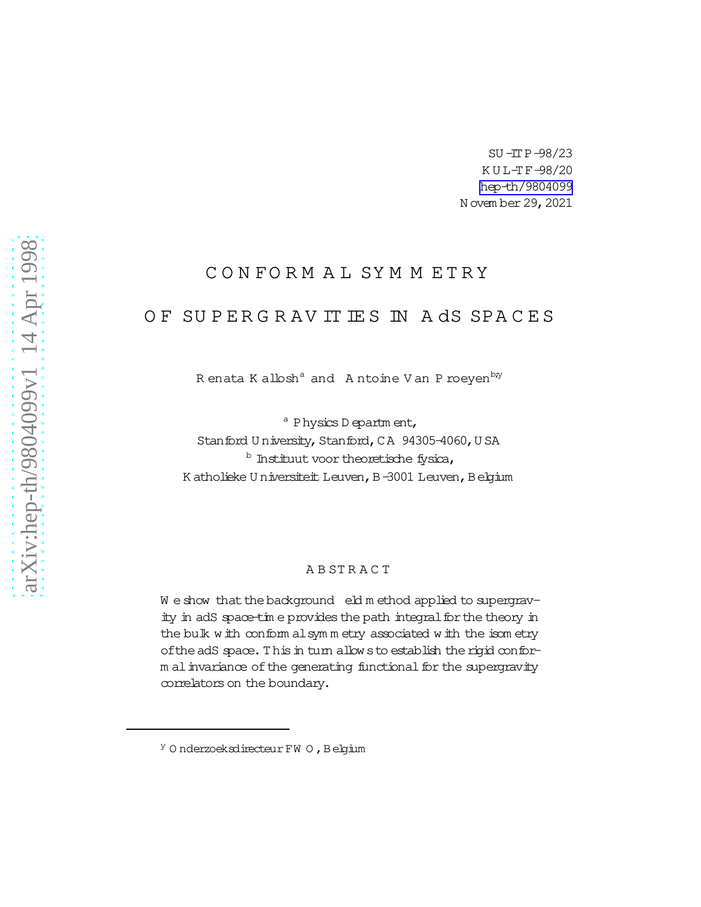SU-ITP-98/23 KUL-TF-98/20 hep-th/9804099 N ovem ber 29, 2021

# CONFORM AL SYMMETRY

# OF SUPERGRAVITIES IN A dS SPACES

Renata Kallosh<sup>a</sup> and Antoine Van Proeyen<sup>by</sup>

<sup>a</sup> Physics D epartm ent, Stanford University, Stanford, CA 94305-4060, USA <sup>b</sup> Instituut voor theoretische fysica, K atholieke U niversiteit Leuven, B-3001 Leuven, Belgium

### ABSTRACT

We show that the background eld method applied to supergravity in adS space-time provides the path integral for the theory in the bulk with conform alsymmetry associated with the isometry of the adS space. This in turn allow s to establish the rigid conform al invariance of the generating functional for the supergravity correlators on the boundary.

<sup>&</sup>lt;sup>y</sup> Onderzoeksdirecteur FW O, Belgium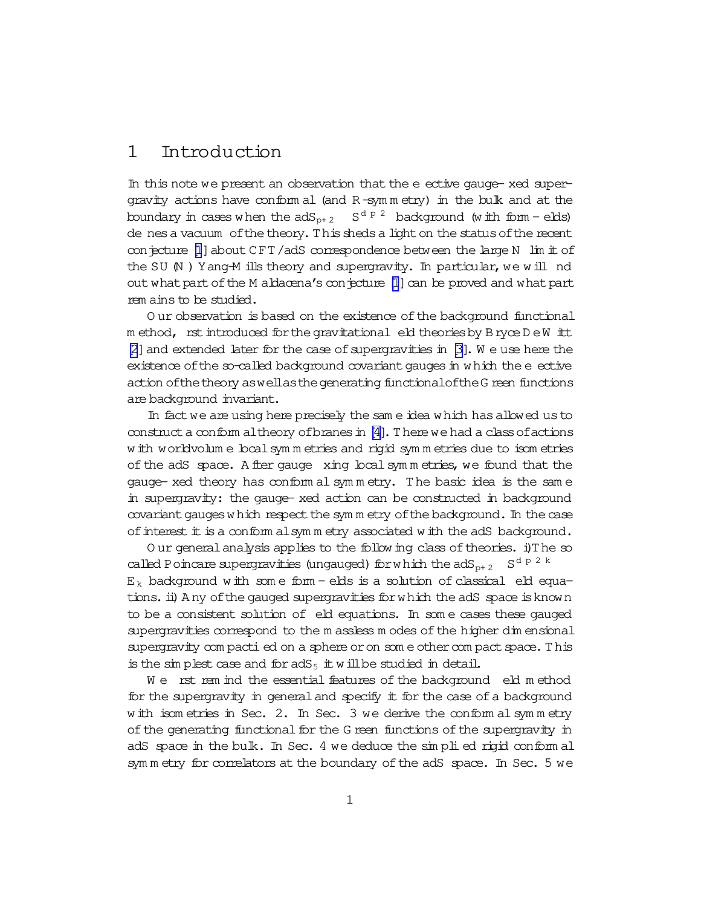#### 1 Introduction

In this note we present an observation that the e ective gauge- xed supergravity actions have conform al (and R-symmetry) in the bulk and at the boundary in cases when the  $adS_{p+2}$  $S^{d p 2}$  background (with form - elds) de nes a vacuum of the theory. This sheds a light on the status of the recent conjecture  $[1]$  about CFT/adS correspondence between the large N  $\;$  lim  $\;$  t of the SU (N) Yang-M ills theory and supergravity. In particular, we will nd out what part of the M aldacena's con-jecture [1] can be proved and what part rem ains to be studied.

Our observation is based on the existence of the background functional method, rst introduced for the gravitational eld theories by Bryce D eW itt  $[2]$  and extended later for the case of supergravities in  $[3]$ . We use here the existence of the so-called background covariant gauges in which the e ective action of the theory as well as the generating functional of the G reen functions are background invariant.

In fact we are using here precisely the same idea which has allowed us to construct a conform altheory of branes in [4]. There we had a class of actions w ith worldvolum e local symm etries and rigid symm etries due to isom etries of the adS space. A fler gauge xing local symmetries, we found that the gauge- xed theory has conform al symmetry. The basic idea is the same in supergravity: the gauge- xed action can be constructed in background covariant gauges which respect the symm etry of the background. In the case of interest it is a conform all symmetry associated with the adS background.

Our general analysis applies to the following class of theories. i) The so called Poincare supergravities (ungauged) for which the  $adS_{p+2}$  $S^{d p 2 k}$  $E_k$  background with some form - elds is a solution of classical eld equations. ii) A ny of the gauged supergravities for which the adS space is known to be a consistent solution of eld equations. In some cases these gauged supergravities correspond to the m assless m odes of the higher dim ensional supergravity com pacti ed on a sphere or on som e other com pact space. This is the simplest case and for  $adS_5$  it will be studied in detail.

We rst rem ind the essential features of the background eld method for the supergravity in general and specify it for the case of a background with isometries in Sec. 2. In Sec. 3 we derive the conformal symmetry of the generating functional for the G reen functions of the supergravity in adS space in the bulk. In Sec. 4 we deduce the simplied rigid conformal symmetry for correlators at the boundary of the adS space. In Sec. 5 we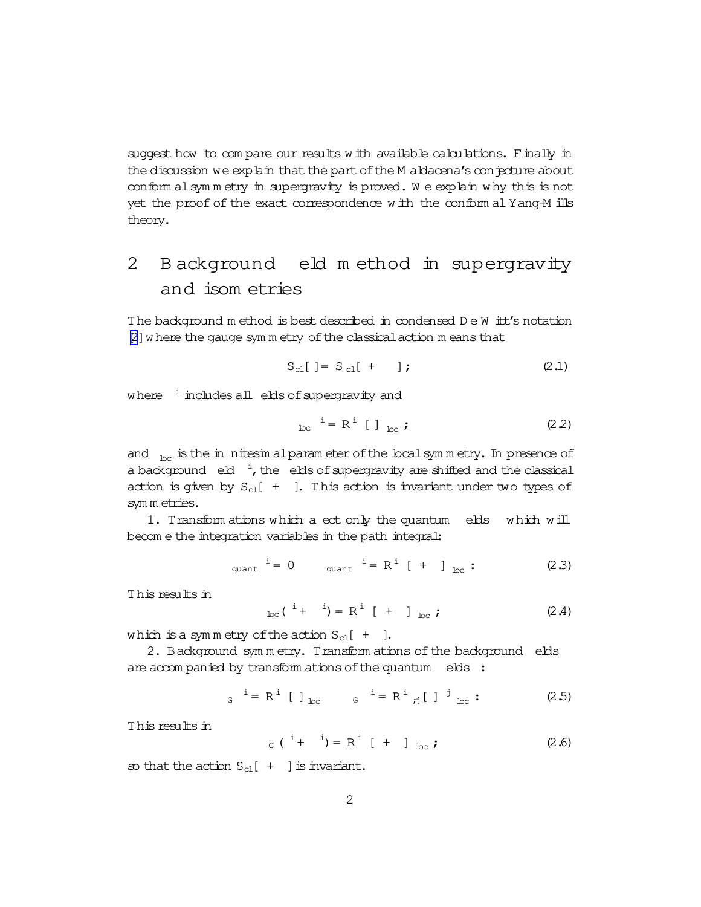<span id="page-2-0"></span>suggest how to com pare our results with available calculations. Finally in the discussion we explain that the part of the M aldacena's conjecture about conform alsym m etry in supergravity is proved. W e explain why this is not yet the proof of the exact correspondence with the conform al Yang-M ills theory.

# 2 B ackground eld m ethod in supergravity and isom etries

The background m ethod is best described in condensed D e W itt's notation [\[2](#page-14-0)]where the gauge sym m etry ofthe classicalaction m eans that

$$
S_{cl}[ ] = S_{cl}[ + ] ; \qquad (2.1)
$$

where  $\frac{1}{2}$  includes all elds of supergravity and

$$
_{\text{loc}}^{\text{i}} = \mathbb{R}^{\text{i}} \left[ \begin{array}{c} \end{array} \right]_{\text{loc}} ; \tag{2.2}
$$

and  $\overline{h}_{\text{loc}}$  is the in nitesim alparam eter of the local symmetry. In presence of a background  $e^{i}$ , the elds of supergravity are shifted and the classical action is given by  $S_{c1}[ + ]$ . This action is invariant under two types of sym m etries.

1. Transform ations which a ect only the quantum elds which will becom e the integration variables in the path integral:

$$
i = 0 \tquad \text{quant} \quad i = R^i \left[ + \right]_{loc} : \t (2.3)
$$

This results in

$$
{}_{loc}({}^{i}+{}^{i})=R^{i}[+{}^{j}]_{loc}; \qquad (2.4)
$$

which is a symmetry of the action  $S_{cl}$  [ + ].

2. Background symmetry. Transform ations of the background elds are accompanied by transform ations of the quantum elds :

$$
G^{i} = R^{i} [1]_{loc}
$$
  $G^{i} = R^{i} j [1^{j} ]_{loc}$  (2.5)

This results in

$$
G^{i} + i = R^{i} + 1_{loc}
$$
; (2.6)

so that the action  $S_{c1}[ + ]$  is invariant.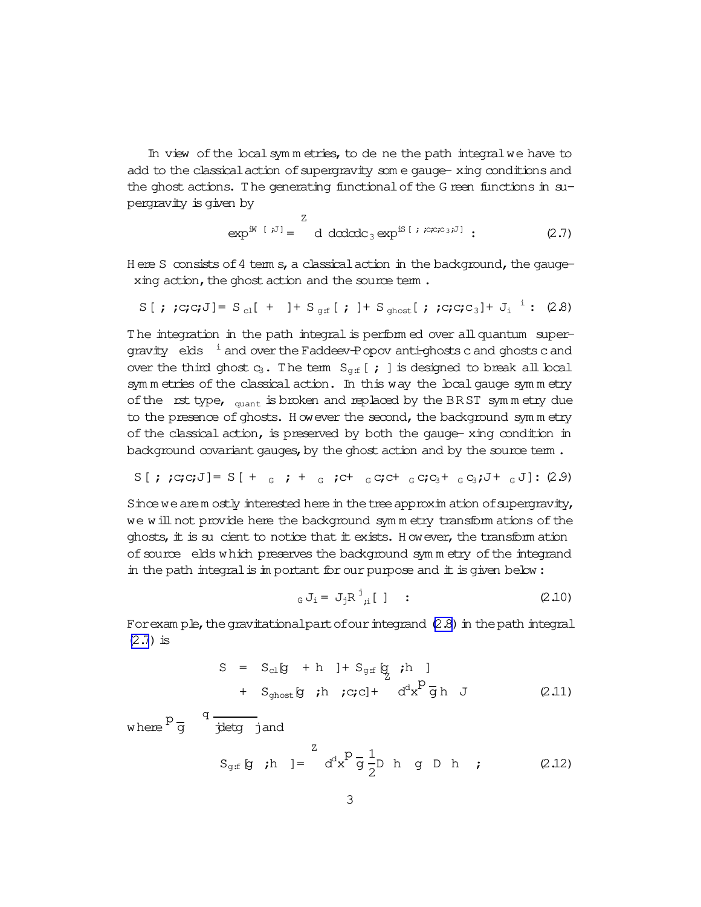In view of the local symmetries, to de ne the path integral we have to add to the classical action of supergravity some gauge-xing conditions and the ghost actions. The generating functionalofthe G reen functions in supergravity is given by

$$
\exp^{iW [i^J]} = \frac{Z}{d d d d d c_3} \exp^{iS [i^j C_1 C_2 C_3 i^J]} \tag{2.7}
$$

H ere S consists of 4 term s, a classical action in the background, the gaugexing action, the ghost action and the source term.

$$
S[j; c; c; J] = S_{cl}[ + ] + S_{gf}[ j] + S_{ghost}[ j; c; c; c_{3}] + J_{i}^{i} : (2.8)
$$

The integration in the path integral is perform ed over all quantum supergravity  $e$ ks  $\frac{1}{2}$  and over the Faddeev-Popov anti-ghosts c and ghosts c and over the third ghost  $c_3$ . The term  $S_{\text{g.f}}$  [ ; ] is designed to break all local sym m etries of the classical action. In this way the local gauge sym m etry of the rst type,  $_{quant}$  is broken and replaced by the BRST symmetry due to the presence of ghosts. However the second, the background sym m etry of the classical action, is preserved by both the gauge- xing condition in background covariant gauges, by the ghost action and by the source term.

$$
S[j; c; c; J] = S[t; c; t; t; c; c; c; c; c; c; c; c; t; c; c; J; t; c; J]
$$

Since we arem ostly interested here in the tree approxim ation of supergravity, we will not provide here the background symmetry transform ations of the ghosts, it is sucient to notice that it exists. However, the transform ation of source elds which preserves the background sym m etry of the integrand in the path integral is in portant for our purpose and  $\pm$  is given below:

$$
_{G} J_{i} = J_{j} R^{j}{}_{i} [ ]
$$
 : (2.10)

For exam ple, the gravitational part of our integrand  $(2.8)$  in the path integral  $(2.7)$  is

$$
S = S_{cl}g + h \quad J + S_{gf}g \quad \text{;h} \quad J
$$
  
+ S\_{ghost}g \quad \text{;h} \quad \text{;c;c} + d^{d}x^{p}gh \quad J \qquad (2.11)

where p g

q

$$
\begin{aligned}\n\text{jletg} \quad \text{jand} \\
\text{S}_{\text{g,f}} \quad \text{g} \quad \text{ih} \quad \text{]} &= \quad d^d x^p \, \overline{g} \, \frac{1}{2} \text{D} \quad \text{h} \quad \text{g} \quad \text{D} \quad \text{h} \quad \text{;}\n\end{aligned}\n\tag{2.12}
$$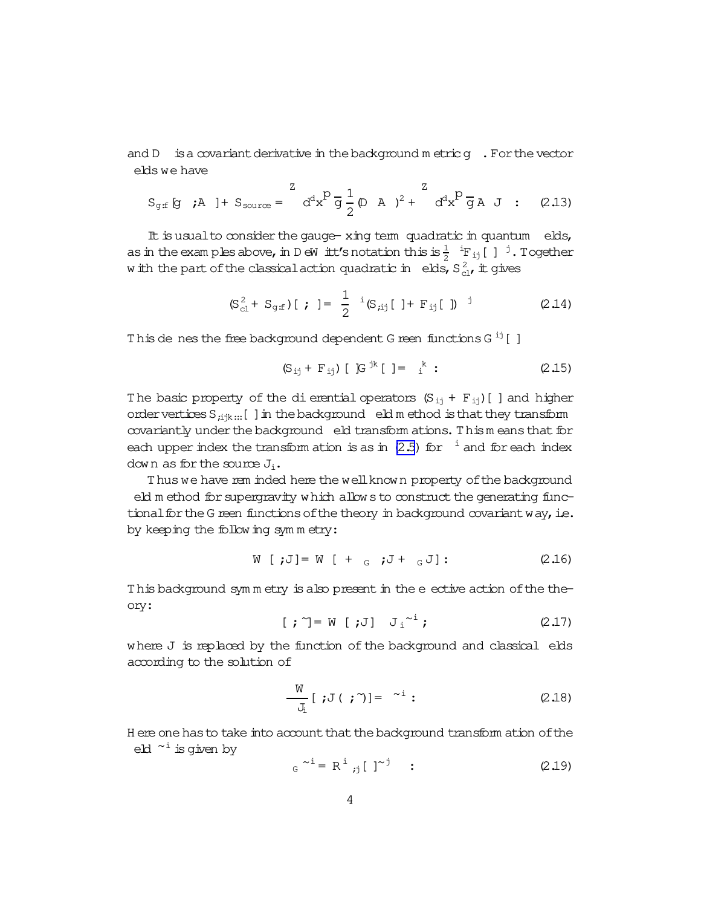and  $D$  is a covariant derivative in the background metric  $g$ . For the vector elds we have

$$
S_{\text{g}f} \text{ [g \, \, \hat{\mu} \,]} + S_{\text{source}} = \int d^{d}x \, d^{d}x \, d^{d}x \, d^{d}x \, d^{d}x \, d^{d}x \, d^{d}x \, d^{d}x \, d^{d}x \, d^{d}x \, d^{d}x \, d^{d}x \, d^{d}x \, d^{d}x \, d^{d}x \, d^{d}x \, d^{d}x \, d^{d}x \, d^{d}x \, d^{d}x \, d^{d}x \, d^{d}x \, d^{d}x \, d^{d}x \, d^{d}x \, d^{d}x \, d^{d}x \, d^{d}x \, d^{d}x \, d^{d}x \, d^{d}x \, d^{d}x \, d^{d}x \, d^{d}x \, d^{d}x \, d^{d}x \, d^{d}x \, d^{d}x \, d^{d}x \, d^{d}x \, d^{d}x \, d^{d}x \, d^{d}x \, d^{d}x \, d^{d}x \, d^{d}x \, d^{d}x \, d^{d}x \, d^{d}x \, d^{d}x \, d^{d}x \, d^{d}x \, d^{d}x \, d^{d}x \, d^{d}x \, d^{d}x \, d^{d}x \, d^{d}x \, d^{d}x \, d^{d}x \, d^{d}x \, d^{d}x \, d^{d}x \, d^{d}x \, d^{d}x \, d^{d}x \, d^{d}x \, d^{d}x \, d^{d}x \, d^{d}x \, d^{d}x \, d^{d}x \, d^{d}x \, d^{d}x \, d^{d}x \, d^{d}x \, d^{d}x \, d^{d}x \, d^{d}x \, d^{d}x \, d^{d}x \, d^{d}x \, d^{d}x \, d^{d}x \, d^{d}x \, d^{d}x \, d^{d}x \, d^{d}x \, d^{d}x \, d^{d}x \, d^{d}x \, d^{d}x \, d^{d}x \, d^{d}x \, d^{d}x \, d^{d}x \, d^{d}x \, d^{d}x \, d^{d}x \, d^{d}x \, d^{d}x \, d^{d}x \, d^{d}x \, d
$$

It is usual to consider the gauge- xing term quadratic in quantum elds, as in the exam ples above, in D eW itt's notation this is  $\frac{1}{2}$  <sup>i</sup>F<sub>ij</sub>[] <sup>j</sup>. Together w ith the part of the classical action quadratic in elds,  $S_{c1}^2$ , it gives

$$
(\mathbf{S}_{\rm cl}^2 + \mathbf{S}_{\rm grf})[ ; ] = \frac{1}{2} {}^{i}(\mathbf{S}_{i,j}[ ] + \mathbf{F}_{ij}[ ] )
$$
 (2.14)

This de nes the free background dependent G reen functions  $G^{ij}[$ ]

$$
(S_{ij} + F_{ij})
$$
 [ G<sup>jk</sup> [ ] =  $_{i}^{k}$  : (2.15)

The basic property of the di erential operators  $(S_{i,j} + F_{i,j})$  and higher order vertices  $S_{\text{tik}}$ ... [ ] in the background eld m ethod is that they transform covariantly under the background eld transform ations. This means that for each upper index the transform ation is as in  $(2.5)$  for  $^{-1}$  and for each index down as for the source  $J_i$ .

Thus we have rem inded here the well known property of the background eld m ethod for supergravity which allows to construct the generating functional for the G reen functions of the theory in background covariant way, i.e. by keeping the following symmetry:

W [J] = W [ + <sub>G</sub> 
$$
j + J + J
$$
 : (2.16)

This background symmetry is also present in the e ective action of the theory:

$$
[ ; \tilde{ } ] = W [ ; J] J_i^2 ; \qquad (2.17)
$$

where J is replaced by the function of the background and classical elds according to the solution of

$$
\frac{W}{J_i} [ ;J( ; \tilde{ }\, )] = \tilde{ }\, ^{i} : \qquad (2.18)
$$

H ere one has to take into account that the background transform ation of the eld  $\tilde{ }$  is given by

$$
G^{\sim i} = R^{i} \; ;j \; [ \; ]^{\sim j} \quad : \tag{2.19}
$$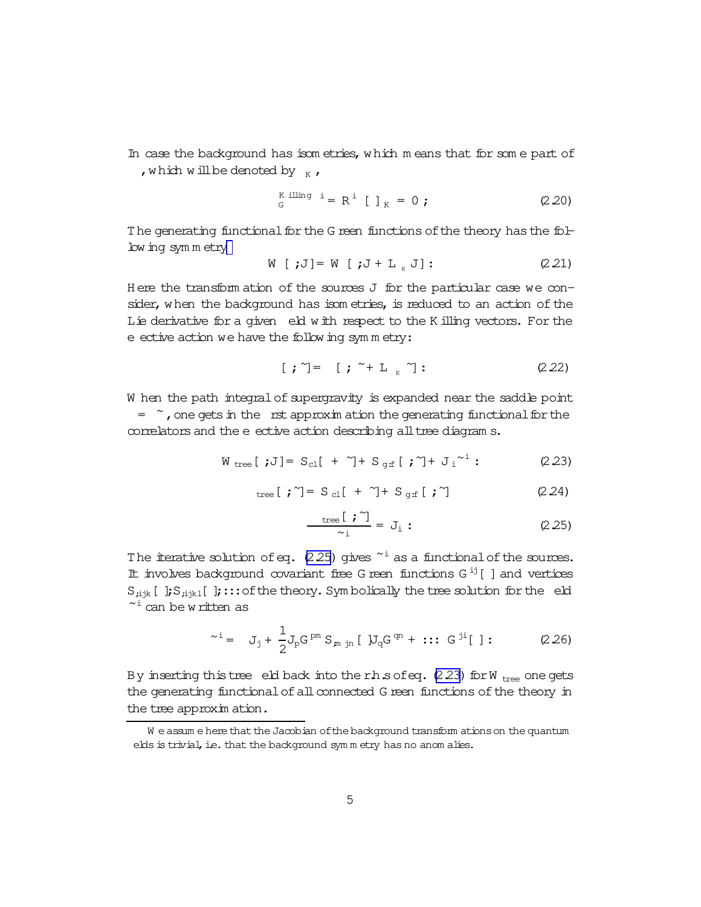<span id="page-5-0"></span>In case the background has isom etries, which m eans that for some part of , which will be denoted by  $K$ ,

$$
{}_{G}^{K \text{ illing } i} = R^{i} [ ]_{K} = 0 ; \qquad (2.20)
$$

The generating functional for the G reen functions of the theory has the following sym m etry

W [ ;J] = W [ ;J + L<sub>g</sub> J]: 
$$
(2.21)
$$

H ere the transform ation of the sources J for the particular case we consider, when the background has isom etries, is reduced to an action of the Lie derivative for a given eld with respect to the K illing vectors. For the  $e$  ective action we have the following symmetry:

$$
[ ; \tilde{ }) = [ ; \tilde{ } + L _{K} ^{ \tilde{ }} ] : \qquad (2.22)
$$

W hen the path integral of supergravity is expanded near the saddle point  $=$   $\sim$ , one gets in the rst approxim ation the generating functional for the

correlators and the e ective action describing all tree diagram s.

$$
W_{\text{tree}}[jJ] = S_{\text{cl}}[ + \gamma + S_{\text{gf}}[j\gamma] + J_i^{\gamma i}:
$$
 (2.23)

tree [ ; ] = S c<sub>1</sub> [ + 
$$
\gamma
$$
] + S <sub>gf</sub> [ ;  $\gamma$ ] (2.24)

$$
\frac{\text{tree}[\mathbf{i}^{\sim}]}{\sim_{i}} = J_{i}:
$$
 (2.25)

The iterative solution of eq.  $(2.25)$  gives  $\sim$ <sup>i</sup> as a functional of the sources. It involves background covariant free G reen functions G<sup>ij</sup> [] and vertices  $S_{\text{link}}[$  ];  $S_{\text{link}}[$  ]; ::: of the theory. Sym bolically the tree solution for the eld  $\tilde{ }$  can be written as

$$
\sim i = J_j + \frac{1}{2} J_p G^{pm} S_{m \text{ in } [U_q G^{cm} + \cdots G^{j1} [1 : (2.26)
$$

By inserting this tree eld back into the r.h.s of eq.  $(2.23)$  for W  $_{tree}$  one gets the generating functional of all connected G reen functions of the theory in the tree approxim ation.

W e assum e here that the Jacobian of the background transform ations on the quantum elds is trivial, i.e. that the background sym m etry has no anom alies.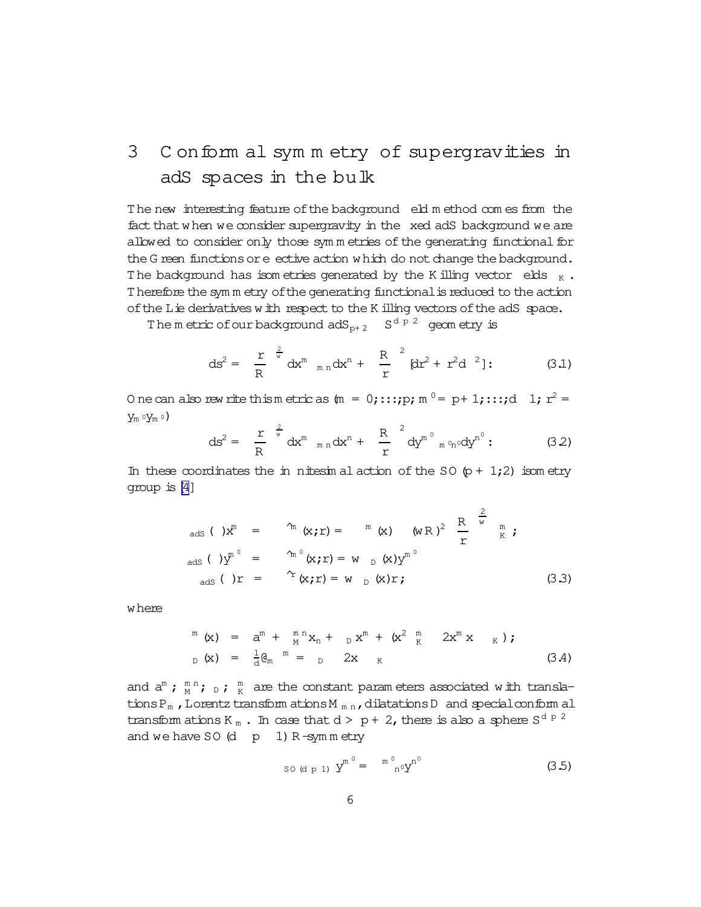# <span id="page-6-0"></span>3 C onform al sym m etry of supergravities in adS spaces in the bulk

The new interesting feature ofthe background eld m ethod com es from the fact that when we consider supergravity in the xed adS background we are allowed to consider only those symmetries of the generating functional for the G reen functions or e ective action which do not change the background. The background has isom etries generated by the K illing vector elds  $_K$ . Therefore thesym m etry ofthe generating functionalisreduced to the action of the Lie derivatives with respect to the K illing vectors of the adS space.

The metric of our background  $adS_{p+2}$   $S^{d+p-2}$  geometry is

$$
ds^{2} = \frac{r}{R} \frac{\frac{2}{w}}{dx^{m}} \frac{dx^{m}}{m n} dx^{n} + \frac{R}{r} \frac{2}{(dr^{2} + r^{2}d^{2})};
$$
 (3.1)

O necan also rew rite thismetricas (m = 0;:::;p; m  $^0$  = p+1;:::;d 1; r<sup>2</sup> =  $y_m \circ y_m \circ$ 

$$
ds^{2} = \frac{r}{R} \frac{2}{w} dx^{m} \pi n dx^{n} + \frac{R}{r} \frac{2}{w} dy^{m^{0}} \pi^{0} n^{0} dy^{n^{0}};
$$
 (3.2)

In these coordinates the in nitesim al action of the SO  $(p + 1, 2)$  isom etry group is[\[4\]](#page-14-0)

$$
_{\text{ads}} \left( \begin{array}{ccc} 1 \times \mathbf{r} & \text{in} \\ \mathbf{r} & \text{in} \end{array} \right) \begin{array}{lll} \mathbf{r} & \text{in} \\ \mathbf{r} & \text{in} \end{array} \begin{array}{lll} \mathbf{r} & \text{in} \\ \mathbf{r} & \text{in} \end{array}
$$
\n
$$
\begin{array}{lll} \text{ads} \left( \begin{array}{ccc} 1 \times \mathbf{r} & \text{in} \\ \mathbf{r} & \text{in} \end{array} \right) \begin{array}{lll} \mathbf{r} & \text{in} \\ \mathbf{r} & \text{in} \end{array}
$$
\n
$$
\begin{array}{lll} \text{ads} \left( \begin{array}{ccc} 1 \times \mathbf{r} & \text{in} \\ \mathbf{r} & \text{in} \end{array} \right) \begin{array}{lll} \mathbf{r} & \text{in} \\ \mathbf{r} & \text{in} \end{array}
$$
\n
$$
\begin{array}{lll} \text{ads} \left( \begin{array}{ccc} 1 \times \mathbf{r} & \text{in} \\ \mathbf{r} & \text{in} \end{array} \right) \begin{array}{lll} \mathbf{r} & \text{in} \\ \mathbf{r} & \text{in} \end{array} \begin{array}{lll} \mathbf{r} & \text{in} \\ \mathbf{r} & \text{in} \end{array} \begin{array}{lll} \mathbf{r} & \text{in} \\ \mathbf{r} & \text{in} \end{array} \begin{array}{lll} \mathbf{r} & \text{in} \\ \mathbf{r} & \text{in} \end{array} \begin{array}{lll} \mathbf{r} & \text{in} \\ \mathbf{r} & \text{in} \end{array} \end{array} \begin{array}{lll} \mathbf{r} & \text{in} \\ \mathbf{r} & \text{in} \end{array} \begin{array}{lll} \mathbf{r} & \text{in} \\ \mathbf{r} & \text{in} \end{array} \end{array} \begin{array}{lll} \mathbf{r}
$$

where

$$
\begin{array}{rcl}\nm \ (\mathbf{x}) & = & \mathbf{a}^{\mathsf{m}} + \mathbf{m}^{\mathsf{m}} \mathbf{x}_{\mathsf{n}} + \mathbf{b} \mathbf{x}^{\mathsf{m}} + \left( \mathbf{x}^2 \mathbf{m} \mathbf{x} \mathbf{x} \mathbf{x} \mathbf{x} \mathbf{x} \right) \text{;} \\
\mathbf{b} \ (\mathbf{x}) & = & \frac{1}{d} \mathbf{\mathbf{\theta}}_{\mathsf{m}} \mathbf{m} = \mathbf{b} \mathbf{a} \mathbf{x} \mathbf{x} \mathbf{x} \mathbf{x} \n\end{array} \tag{3.4}
$$

and  $a^m$ ;  $\binom{m}{M}$ ;  $D$ ;  $\frac{m}{K}$  are the constant parameters associated with translations P<sub>m</sub>, Lorentz transform ations M<sub>mn</sub>, dilatations D and special conform al transform ations K  $_m$  . In case that  $d > p + 2$ , there is also a sphere S<sup>d p 2</sup> and we have  $SO(d p 1) R - sym m entry$ 

so (d p 1) 
$$
y^{m^0} = {m^0}_{n^0} y^{n^0}
$$
 (3.5)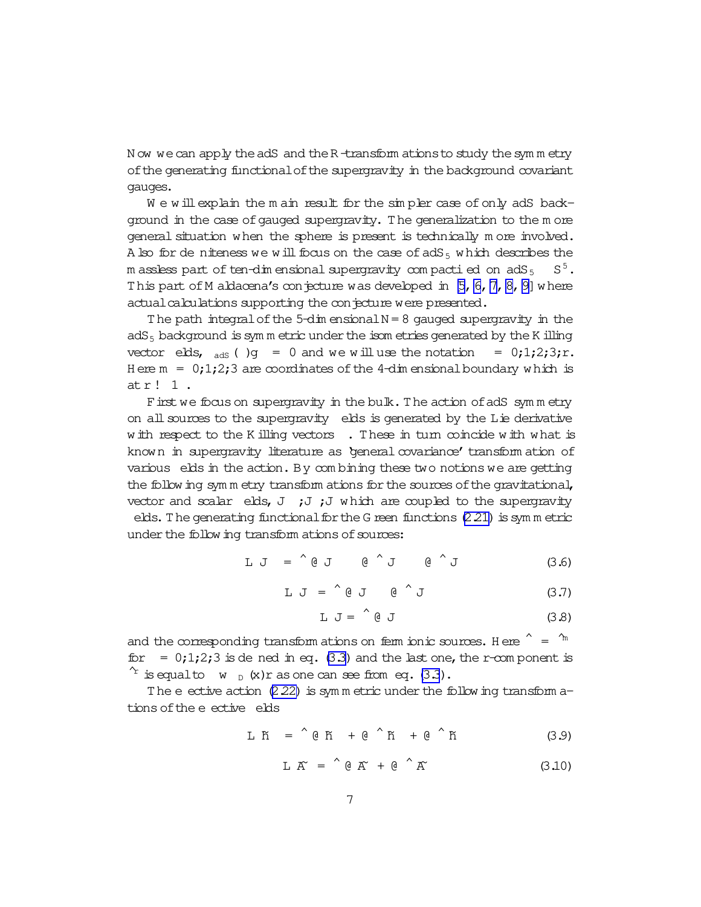<span id="page-7-0"></span>N ow we can apply the adS and the R -transform ations to study the symm etry ofthe generating functionalofthe supergravity in the background covariant gauges.

We will explain the m ain result for the simpler case of only adS background in the case of gauged supergravity. The generalization to the m ore general situation when the sphere is present is technically more involved. A lso for de niteness we will focus on the case of  $adS_5$  which describes the m assless part of ten-dim ensional supergravity compactifed on adS  $_{5}$   $\,$  S  $^{5}$  . This part of M aldacena's conjecture was developed in  $[5, 6, 7, 8, 9]$  where actual calculations supporting the conjecture were presented.

The path integral of the  $5$ -dim ensional  $N = 8$  gauged supergravity in the adS $_5$  background is sym m etric under the isom etries generated by the K illing vector elds,  $_{\text{ads}}$  ( )g = 0 and we will use the notation = 0;1;2;3;r. H ere  $m = 0,1,2,3$  are coordinates of the 4-dim ensional boundary which is atr! 1 .

First we focus on supergravity in the bulk. The action of adS symmetry on all sources to the supergravity elds is generated by the Lie derivative with respect to the K illing vectors . These in turn coincide with what is known in supergravity literature as 'general covariance' transform ation of various elds in the action. By combining these two notions we are getting the following sym m etry transform ations for the sources of the gravitational, vector and scalar elds,  $J$  ;  $J$ ;  $J$  which are coupled to the supergravity elds. The generating functional for the G reen functions  $(2.21)$  is symm etric under the following transform ations of sources:

> L J = ^ @ J @ ^ J @ ^ J (3.6)

$$
L J = \text{\'{0} J} \quad \text{\'{0} J} \tag{3.7}
$$

$$
L J = \begin{array}{c} 0 & J \\ 0 & J \end{array} \tag{3.8}
$$

and the corresponding transform ations on ferm ionic sources. Here  $\hat{a} = \hat{a}$ <sup>m</sup> for =  $0;1;2;3$  is de ned in eq. [\(3.3\)](#page-6-0) and the last one, the r-com ponent is  $\hat{f}$  is equalto w  $_D$  (x) r as one can see from eq.[\(3.3](#page-6-0)).

The e ective action  $(2.22)$  is sym m etric under the following transform ations of the e ective elds

$$
L K = \text{R} + \text{R} + \text{R} + \text{R} + \text{R} + \text{R}
$$
 (3.9)

$$
L K = \text{Re } K + \text{Re } K \tag{3.10}
$$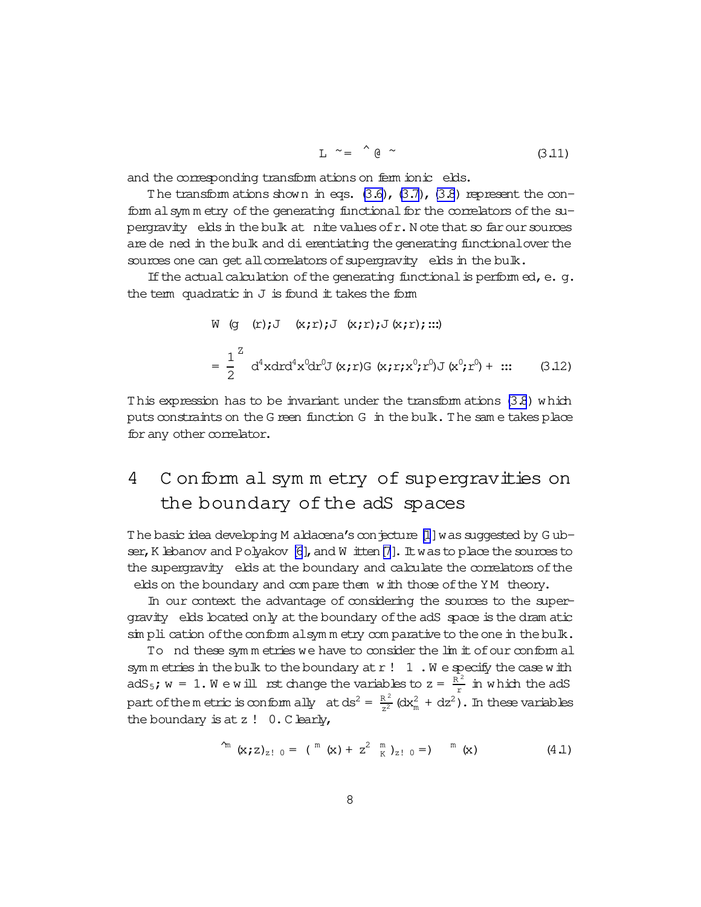$$
L \sim = \begin{array}{c} 0 \sim \\ 0 \sim \end{array} \tag{3.11}
$$

and the corresponding transform ations on ferm ionic elds.

The transform ations shown in eqs.  $(3.6)$ ,  $(3.7)$ ,  $(3.8)$  represent the conform al symm etry of the generating functional for the correlators of the supergravity elds in the bulk at nite values of r. N ote that so far our sources are de ned in the bulk and di erentiating the generating functional over the sources one can get all correlators of supergravity elds in the bulk.

If the actual calculation of the generating functional is performed, e. g. the term quadratic in  $J$  is found it takes the form

W (g (r);J (x;r);J (x;r);J(x;r);...)  
\n
$$
= \frac{1}{2}^Z d^4x dr d^4x^0 dr^0 J(x;r)G(x;r;x^0;r^0)J(x^0;r^0) + ... \qquad (3.12)
$$

This expression has to be invariant under the transform ations (3.8) which puts constraints on the G reen function G in the bulk. The same takes place for any other correlator.

### Conform al symmetry of supergravities on 4 the boundary of the adS spaces

The basic idea developing M aldacena's conjecture [1] was suggested by Gubser, K lebanov and Polyakov [6], and W itten [7]. It was to place the sources to the supergravity elds at the boundary and calculate the correlators of the elds on the boundary and compare them with those of the YM theory.

In our context the advantage of considering the sources to the supergravity elds boated only at the boundary of the adS space is the dram atic  $\sin$  pli cation of the conform alsymm etry comparative to the one in the bulk.

To nd these symmetries we have to consider the lim it of our conform all sym m etries in the bulk to the boundary at  $r : 1$ . We specify the case with  $adS_5$ ;  $w = 1$ . We will rst change the variables to  $z = \frac{\overline{R^2}}{r}$  in which the adS part of the m etric is conform ally at  $ds^2 = \frac{R^2}{r^2} (dx_m^2 + dz^2)$ . In these variables the boundary is at  $z$  ! 0. C learly,

$$
\int_{m}^{m} (x; z)_{z! \ 0} = (m (x) + z^{2} m)_{z! \ 0} = (m (x) + z^{2} m)_{z! \ 0} = (4.1)
$$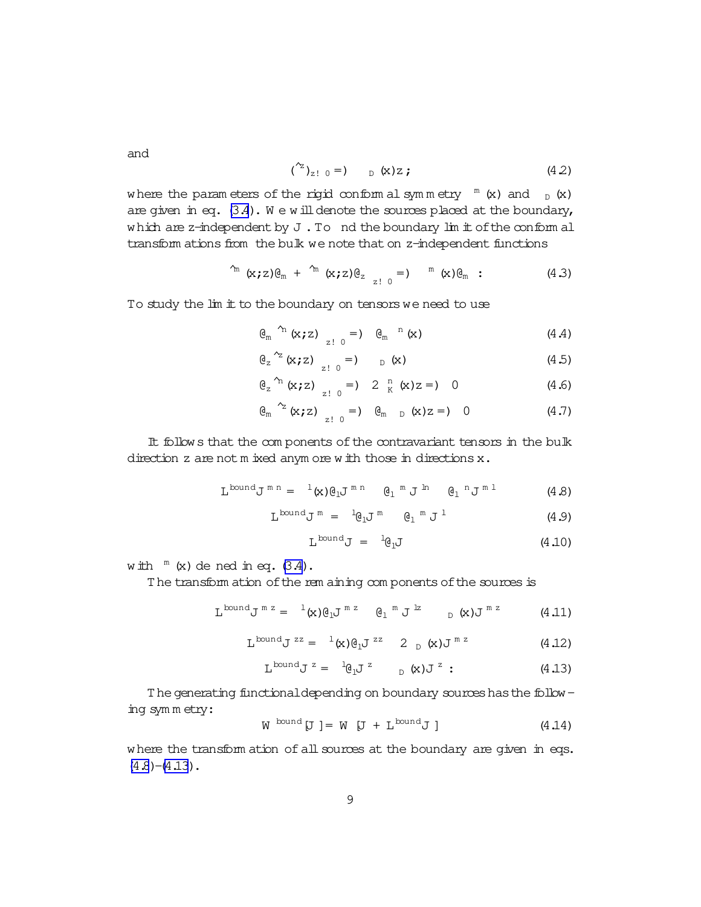<span id="page-9-0"></span>and

$$
({}^{\sim}{}_{2! 0} =) \t {}_{D} (x) z ; \t(4.2)
$$

where the param eters of the rigid conform al symmetry  $m$  (x) and  $D$  (x) are given in eq.  $(3.4)$ . We will denote the sources placed at the boundary, which are z-independent by  $J$ . To nd the boundary  $\text{Im}$  it of the conform al transform ations from the bulk we note that on z-independent functions

$$
\int_{m}^{m} (x, z) \theta_{m} + \int_{m}^{m} (x, z) \theta_{z} = 0 \quad m} (x) \theta_{m} \quad (4.3)
$$

To study the lim it to the boundary on tensors we need to use

$$
\theta_{m}^{n} (x; z) = 0 \quad \theta_{m}^{n} (x) \qquad (4.4)
$$

$$
\theta_{z}^{2} (x; z) = 0 \qquad (x) \qquad (4.5)
$$

$$
\theta_{z}^{n} (x, z) \big|_{z = 0} = \big| 2 \frac{n}{K} (x) z = \big| 0 \tag{4.6}
$$

$$
\mathfrak{G}_{m} \stackrel{\gamma_{2}}{\sim} (x; z) \quad z! \quad 0 \quad =) \quad \mathfrak{G}_{m} \quad p \quad (x) z =) \quad 0 \tag{4.7}
$$

It follows that the components of the contravariant tensors in the bulk direction z are not m ixed anym ore with those in directions x.

$$
L^{\text{bound}}J^{\text{mn}} = {}^{-1}(x)\theta_1 J^{\text{mn}} \quad \theta_1^{\text{m}} J^{\text{m}} \quad \theta_1^{\text{n}} J^{\text{m}} \quad (4.8)
$$

$$
L^{\text{bound}}J^m = {}^l\theta_1 J^m \qquad \theta_1^m J^1 \qquad (4.9)
$$

$$
L^{\text{bound}}J = {}^1\theta_1 J \tag{4.10}
$$

with  $^m$  (x) de ned in eq. [\(3.4\)](#page-6-0).

The transform ation of the rem aining com ponents of the sources is

$$
L^{\text{bound}}J^{\text{m z}} = {}^{-1}(x)\theta_1 J^{\text{m z}} \quad \theta_1^{\text{m } J^{\text{lz}}}
$$

$$
L^{bound}J^{zz} = {}^{1}(x)@_{1}J^{zz} 2_{D}(x)J^{mz}
$$
 (4.12)

$$
L^{\text{bound}} J^z = {}^1\theta_1 J^z \qquad \qquad _D(x) J^z : \qquad \qquad (4.13)
$$

The generating functional depending on boundary sources has the following sym m etry:

$$
W^{bound}[J] = W [J + L^{bound}J]
$$
 (4.14)

where the transform ation of all sources at the boundary are given in eqs.  $(4.8)-(4.13)$ .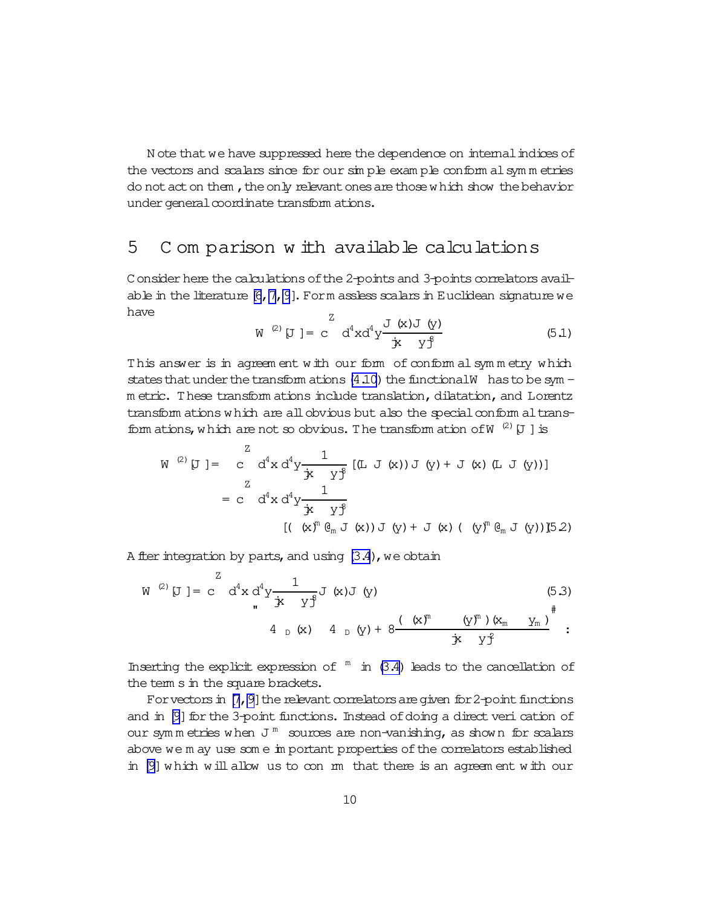N ote that we have suppressed here the dependence on internal indices of the vectors and scalars since for our simple example conform all symm etries do not act on them, the only relevant ones are those which show the behavior under general coordinate transform ations.

#### 5 Comparison with available calculations

Consider here the calculations of the 2-points and 3-points correlators available in the literature  $[6, 7, 9]$ . Form assless scalars in Euclidean signature we have

$$
W^{(2)} [J] = c^{2} d^{4}x d^{4}y \frac{J(x)J(y)}{j^{2}} \qquad (5.1)
$$

This answer is in agreement with our form of conformal symmetry which states that under the transform ations  $(4.10)$  the functional W has to be sym m etric. These transform ations include translation, dilatation, and Lorentz transform ations which are all obvious but also the special conform al transform ations, which are not so obvious. The transform ation of W  $^{(2)}$  [J ] is

$$
W^{(2)}[J] = \begin{pmatrix} 2 & d^4x d^4y \frac{1}{\dot{x} + y^2} [(L J(x))J(y) + J(x) (L J(y))]
$$
  

$$
= c & d^4x d^4y \frac{1}{\dot{x} + y^2}
$$
  

$$
= ( (\dot{x})^m \dot{\theta}_m J(x)) J(y) + J(x) ( (y)^m \dot{\theta}_m J(y)) J(52)
$$

A fter integration by parts, and using  $(3.4)$ , we obtain

$$
W^{(2)} [J] = c^{Z} d^{4}x d^{4}y \frac{1}{\dot{x} y^{\dot{x}} y^{\dot{x}}} J(x)J(y)
$$
\n(5.3)  
\n
$$
4_{D}(x) 4_{D}(y) + 8 \frac{((x)^{n} (y)^{m})(x_{m} y_{m})}{\dot{x} y^{\dot{x}}} ;
$$

Inserting the explicit expression of  $\sqrt{m}$  in (3.4) leads to the cancellation of the term s in the square brackets.

For vectors in  $[7, 9]$  the relevant correlators are given for 2-point functions and in [9] for the 3-point functions. Instead of doing a direct veri cation of our symmetries when  $J^m$  sources are non-vanishing, as shown for scalars above we m ay use some important properties of the correlators established in [9] which will allow us to con m that there is an agreement with our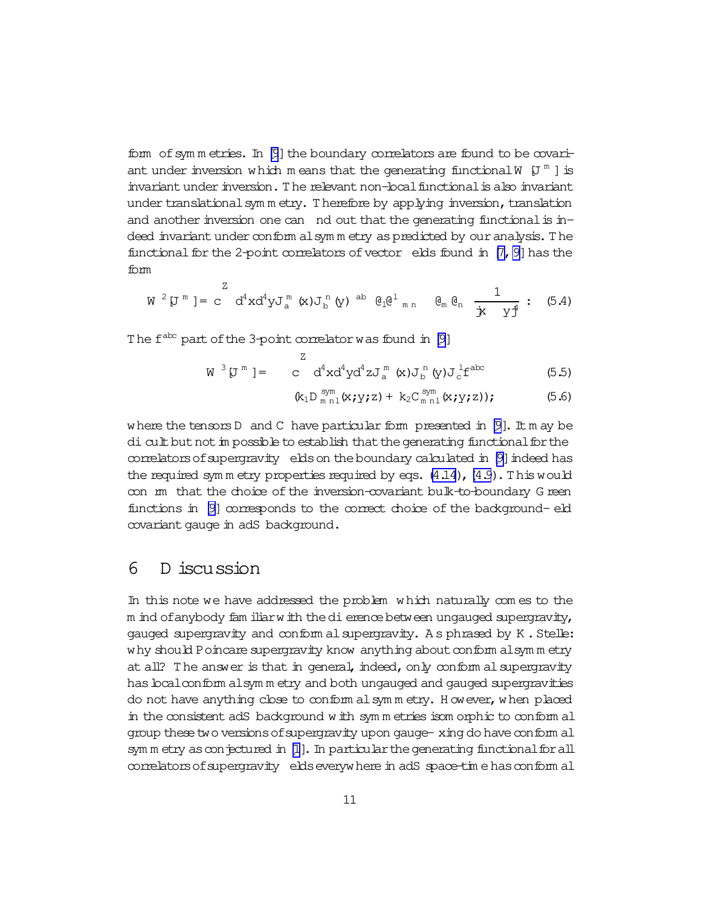form of symm etries. In  $[9]$  the boundary correlators are found to be covariant under inversion which means that the generating functional W  $[J^m]$  is invariant under inversion. The relevant non-local functional is also invariant under translational sym m etry. Therefore by applying inversion, translation and another inversion one can  $\overline{\phantom{a}}$  nd out that the generating functional is indeed invariant under conform alsym m etry as predicted by our analysis. The functional for the 2-point correlators of vector elds found in  $[7, 9]$  has the form

$$
W^{2}[J^{m}] = c^{2} d^{4}x d^{4}y J_{a}^{m}(x) J_{b}^{n}(y) \stackrel{ab}{=} \theta_{1} \theta_{m}^{1} \quad \theta_{m} \theta_{n} \quad \frac{1}{j^{2} + j^{4}} : (5.4)
$$

The  $f^{abc}$  part of the 3-point correlator was found in [\[9\]](#page-14-0)

 $\overline{z}$ 

$$
W^{3} [J^{m}] = C^{4} d^{4} x d^{4} y d^{4} z J_{a}^{m} (x) J_{b}^{n} (y) J_{c}^{1} f^{abc}
$$
 (5.5)

$$
(k_1D_{m n1}^{sym}(x; y; z) + k_2C_{m n1}^{sym}(x; y; z)); \qquad (5.6)
$$

where the tensors D and C have particular form presented in  $[9]$ . It m ay be dicult but not in possible to establish that the generating functional for the correlators of supergravity elds on the boundary calculated in [\[9\]](#page-14-0) indeed has the required symm etry properties required by eqs.  $(4.14)$ ,  $(4.9)$  $(4.9)$ . This would con m that the choice of the inversion-covariant bulk-to-boundary G reen functions in  $[9]$  corresponds to the correct choice of the background-eld covariant gauge in adS background.

## 6 D iscussion

In this note we have addressed the problem which naturally com es to the m ind of anybody fam iliarwith the dierence between ungauged supergravity, gauged supergravity and conform alsupergravity. As phrased by K. Stelle: why should Poincare supergravity know anything about conform alsym m etry at all? The answer is that in general, indeed, only conform al supergravity has local conform alsym m etry and both ungauged and gauged supergravities do not have anything close to conform alsymmetry. However, when placed in the consistent adS background with symm etries isom orphic to conform al group these two versions of supergravity upon gauge- xing do have conform all sym m etry as conjectured in [\[1\]](#page-14-0). In particular the generating functional for all correlators of supergravity elds everywhere in adS space-time has conform all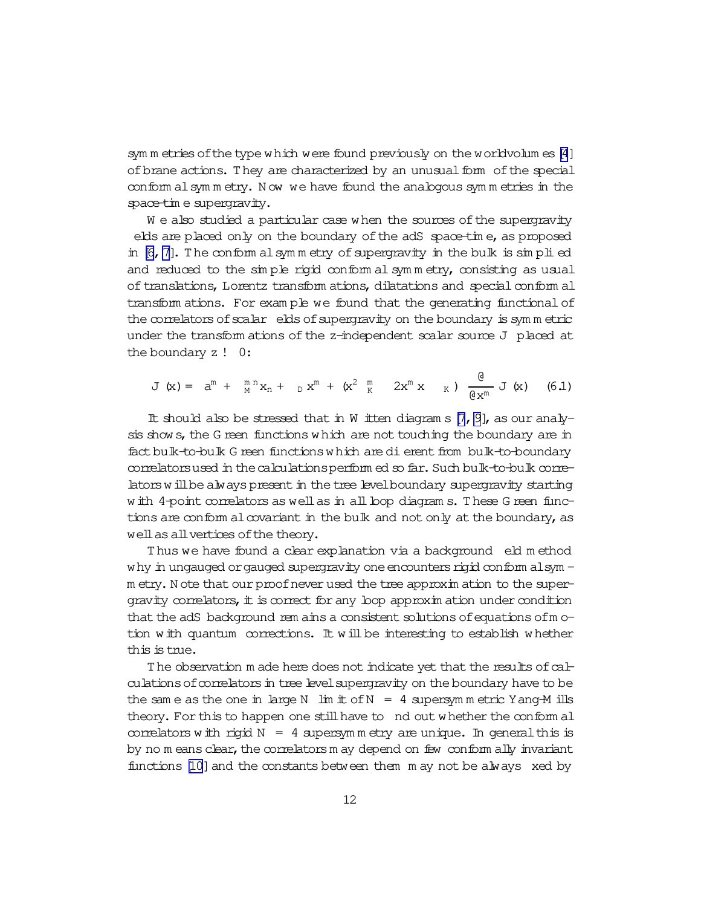sym m etries of the type which were found previously on the worldvolum es  $[4]$  $[4]$ of brane actions. They are characterized by an unusual form of the special conform alsym m etry. N ow we have found the analogous sym m etries in the space-tim e supergravity.

We also studied a particular case when the sources of the supergravity elds are placed only on the boundary of the adS space-time, as proposed in  $[6, 7]$  $[6, 7]$ . The conform alsymmetry of supergravity in the bulk is  $\sin$  plied and reduced to the sim ple rigid conform al sym m etry, consisting as usual of translations, Lorentz transform ations, dilatations and special conform all transform ations. For exam ple we found that the generating functional of the correlators of scalar elds of supergravity on the boundary is symmetric under the transform ations of the  $z$ -independent scalar source  $J$  placed at the boundary z ! 0:

$$
J(x) = a^{m} + m^{n} x_{n} + b^{m} x^{m} + (x^{2} + x^{m} - 2x^{m} x) + \frac{a}{2x^{m}} J(x)
$$
 (6.1)

It should also be stressed that in W itten diagram s  $[7, 9]$  $[7, 9]$ , as our analysis shows, the G reen functions which are not touching the boundary are in fact bulk-to-bulk G reen functions which are dierent from bulk-to-boundary correlatorsused in the calculations perform ed so far. Such bulk-to-bulk correlators will be always present in the tree level boundary supergravity starting with 4-point correlators as well as in all loop diagram s. These G reen functions are conform alcovariant in the bulk and not only at the boundary, as well as all vertices of the theory.

Thus we have found a clear explanation via a background eld method why in ungauged or gauged supergravity one encounters rigid conform alsym m etry. N ote that our proof never used the tree approxim ation to the supergravity correlators, it is correct for any loop approxim ation under condition that the adS background rem ains a consistent solutions of equations of motion with quantum corrections. It willbe interesting to establish whether this is tnie.

The observation m ade here does not indicate yet that the results of calculations of correlators in tree level supergravity on the boundary have to be the same as the one in large N  $\lim_{x \to 0}$  in  $f(x) = 4$  supersymmetric Yang-M ills theory. For this to happen one still have to nd out whether the conform al correlators with rigid  $N = 4$  supersymm etry are unique. In general this is by no  $m$  eans clear, the correlators  $m$  ay depend on few conform ally invariant functions  $[10]$  and the constants between them  $m$  ay not be always xed by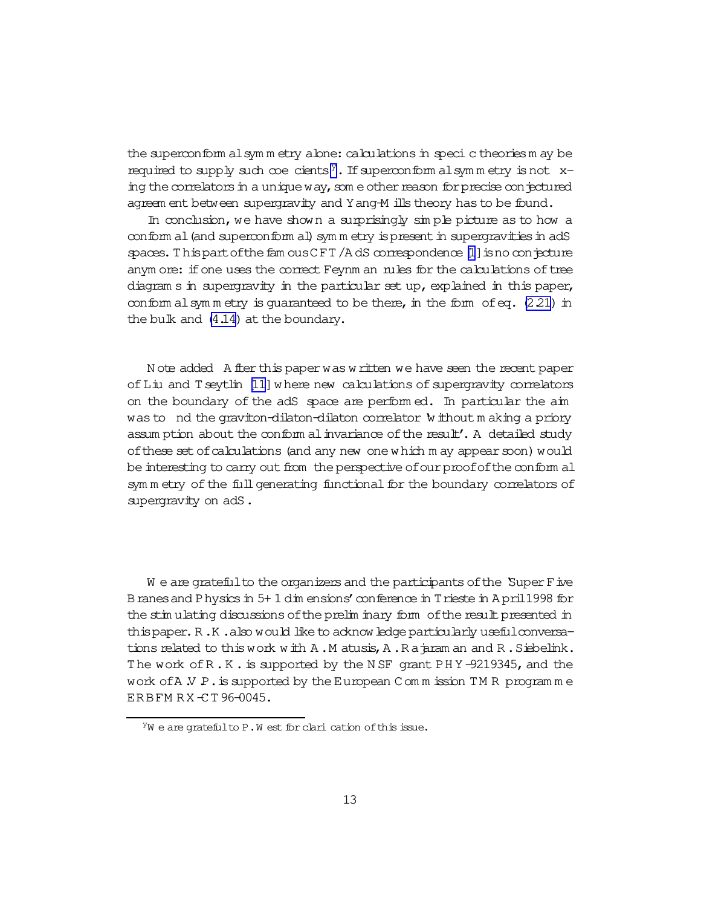the superconform alsymm etry abne: calculations in speci c theories m ay be required to supply such coe cients<sup>y</sup>. If superconform alsymmetry is not xing the correlators in a unique way, some other reason for precise conjectured agreem ent between supergravity and Y ang-M ills theory has to be found.

In conclusion, we have shown a surprisingly simple picture as to how a conform al (and superconform al) symm etry is present in supergravities in adS spaces. This part of the fam ous CFT/AdS correspondence  $[1]$  is no conjecture anym ore: if one uses the correct Feynm an rules for the calculations of tree diagram s in supergravity in the particular set up, explained in this paper, conform al symmetry is quaranteed to be there, in the form of eq.  $(2.21)$  in the bulk and (4.14) at the boundary.

N ote added A fler this paper was written we have seen the recent paper of Liu and T seytlin [11] where new calculations of supergravity correlators on the boundary of the adS space are performed. In particular the aim was to nd the graviton-dilaton-dilaton correlator without making a priory assum ption about the conform al invariance of the result'. A detailed study of these set of calculations (and any new one which m ay appear soon) would be interesting to carry out from the perspective of our proof of the conform all symm etry of the full generating functional for the boundary correlators of supergravity on adS.

We are grateful to the organizers and the participants of the Super F ive B ranes and P hysics in 5+1 dim ensions' conference in T rieste in A pril 1998 for the stimulating discussions of the prelim inary form of the result presented in this paper. R.K.also would like to acknowledge particularly useful conversations related to this work with A.M atusis, A.R a jaram an and R.Siebelink. The work of R.K. is supported by the NSF grant PHY-9219345, and the work of A  $N$  P. is supported by the European C om m ission TMR program m e ERBFMRX-CT96-0045.

YW e are grateful to P.W est for clari cation of this issue.